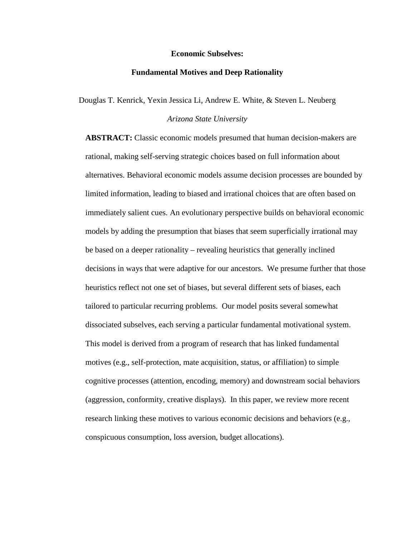#### **Economic Subselves:**

#### **Fundamental Motives and Deep Rationality**

Douglas T. Kenrick, Yexin Jessica Li, Andrew E. White, & Steven L. Neuberg

### *Arizona State University*

**ABSTRACT:** Classic economic models presumed that human decision-makers are rational, making self-serving strategic choices based on full information about alternatives. Behavioral economic models assume decision processes are bounded by limited information, leading to biased and irrational choices that are often based on immediately salient cues. An evolutionary perspective builds on behavioral economic models by adding the presumption that biases that seem superficially irrational may be based on a deeper rationality – revealing heuristics that generally inclined decisions in ways that were adaptive for our ancestors. We presume further that those heuristics reflect not one set of biases, but several different sets of biases, each tailored to particular recurring problems. Our model posits several somewhat dissociated subselves, each serving a particular fundamental motivational system. This model is derived from a program of research that has linked fundamental motives (e.g., self-protection, mate acquisition, status, or affiliation) to simple cognitive processes (attention, encoding, memory) and downstream social behaviors (aggression, conformity, creative displays). In this paper, we review more recent research linking these motives to various economic decisions and behaviors (e.g., conspicuous consumption, loss aversion, budget allocations).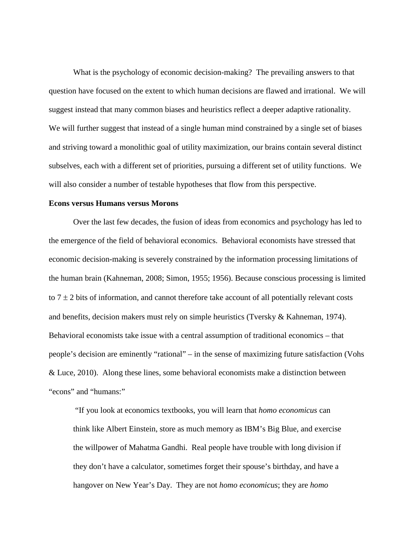What is the psychology of economic decision-making? The prevailing answers to that question have focused on the extent to which human decisions are flawed and irrational. We will suggest instead that many common biases and heuristics reflect a deeper adaptive rationality. We will further suggest that instead of a single human mind constrained by a single set of biases and striving toward a monolithic goal of utility maximization, our brains contain several distinct subselves, each with a different set of priorities, pursuing a different set of utility functions. We will also consider a number of testable hypotheses that flow from this perspective.

### **Econs versus Humans versus Morons**

Over the last few decades, the fusion of ideas from economics and psychology has led to the emergence of the field of behavioral economics. Behavioral economists have stressed that economic decision-making is severely constrained by the information processing limitations of the human brain (Kahneman, 2008; Simon, 1955; 1956). Because conscious processing is limited to  $7 \pm 2$  bits of information, and cannot therefore take account of all potentially relevant costs and benefits, decision makers must rely on simple heuristics (Tversky & Kahneman, 1974). Behavioral economists take issue with a central assumption of traditional economics – that people's decision are eminently "rational" – in the sense of maximizing future satisfaction (Vohs & Luce, 2010). Along these lines, some behavioral economists make a distinction between "econs" and "humans:"

"If you look at economics textbooks, you will learn that *homo economicus* can think like Albert Einstein, store as much memory as IBM's Big Blue, and exercise the willpower of Mahatma Gandhi. Real people have trouble with long division if they don't have a calculator, sometimes forget their spouse's birthday, and have a hangover on New Year's Day. They are not *homo economicus*; they are *homo*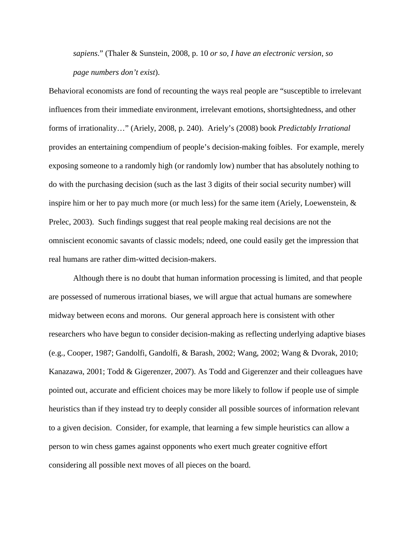*sapiens*." (Thaler & Sunstein, 2008, p. 10 *or so, I have an electronic version, so page numbers don't exist*).

Behavioral economists are fond of recounting the ways real people are "susceptible to irrelevant influences from their immediate environment, irrelevant emotions, shortsightedness, and other forms of irrationality…" (Ariely, 2008, p. 240). Ariely's (2008) book *Predictably Irrational*  provides an entertaining compendium of people's decision-making foibles. For example, merely exposing someone to a randomly high (or randomly low) number that has absolutely nothing to do with the purchasing decision (such as the last 3 digits of their social security number) will inspire him or her to pay much more (or much less) for the same item (Ariely, Loewenstein,  $\&$ Prelec, 2003). Such findings suggest that real people making real decisions are not the omniscient economic savants of classic models; ndeed, one could easily get the impression that real humans are rather dim-witted decision-makers.

Although there is no doubt that human information processing is limited, and that people are possessed of numerous irrational biases, we will argue that actual humans are somewhere midway between econs and morons. Our general approach here is consistent with other researchers who have begun to consider decision-making as reflecting underlying adaptive biases (e.g., Cooper, 1987; Gandolfi, Gandolfi, & Barash, 2002; Wang, 2002; Wang & Dvorak, 2010; Kanazawa, 2001; Todd & Gigerenzer, 2007). As Todd and Gigerenzer and their colleagues have pointed out, accurate and efficient choices may be more likely to follow if people use of simple heuristics than if they instead try to deeply consider all possible sources of information relevant to a given decision. Consider, for example, that learning a few simple heuristics can allow a person to win chess games against opponents who exert much greater cognitive effort considering all possible next moves of all pieces on the board.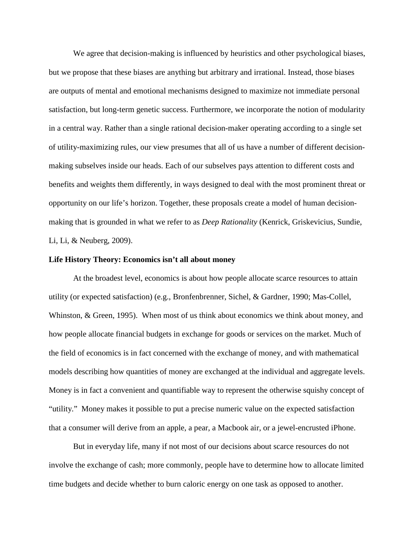We agree that decision-making is influenced by heuristics and other psychological biases, but we propose that these biases are anything but arbitrary and irrational. Instead, those biases are outputs of mental and emotional mechanisms designed to maximize not immediate personal satisfaction, but long-term genetic success. Furthermore, we incorporate the notion of modularity in a central way. Rather than a single rational decision-maker operating according to a single set of utility-maximizing rules, our view presumes that all of us have a number of different decisionmaking subselves inside our heads. Each of our subselves pays attention to different costs and benefits and weights them differently, in ways designed to deal with the most prominent threat or opportunity on our life's horizon. Together, these proposals create a model of human decisionmaking that is grounded in what we refer to as *Deep Rationality* (Kenrick, Griskevicius, Sundie, Li, Li, & Neuberg, 2009).

# **Life History Theory: Economics isn't all about money**

At the broadest level, economics is about how people allocate scarce resources to attain utility (or expected satisfaction) (e.g., Bronfenbrenner, Sichel, & Gardner, 1990; Mas-Collel, Whinston, & Green, 1995). When most of us think about economics we think about money, and how people allocate financial budgets in exchange for goods or services on the market. Much of the field of economics is in fact concerned with the exchange of money, and with mathematical models describing how quantities of money are exchanged at the individual and aggregate levels. Money is in fact a convenient and quantifiable way to represent the otherwise squishy concept of "utility." Money makes it possible to put a precise numeric value on the expected satisfaction that a consumer will derive from an apple, a pear, a Macbook air, or a jewel-encrusted iPhone.

But in everyday life, many if not most of our decisions about scarce resources do not involve the exchange of cash; more commonly, people have to determine how to allocate limited time budgets and decide whether to burn caloric energy on one task as opposed to another.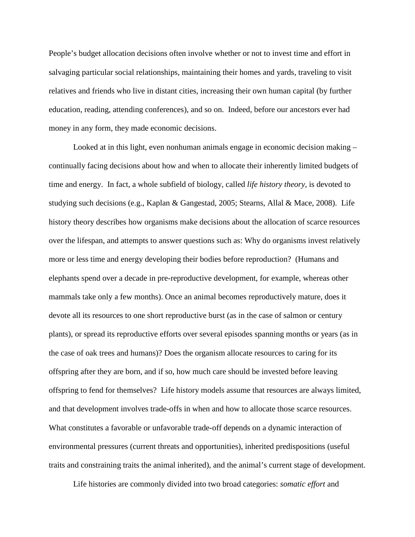People's budget allocation decisions often involve whether or not to invest time and effort in salvaging particular social relationships, maintaining their homes and yards, traveling to visit relatives and friends who live in distant cities, increasing their own human capital (by further education, reading, attending conferences), and so on. Indeed, before our ancestors ever had money in any form, they made economic decisions.

Looked at in this light, even nonhuman animals engage in economic decision making – continually facing decisions about how and when to allocate their inherently limited budgets of time and energy. In fact, a whole subfield of biology, called *life history theory,* is devoted to studying such decisions (e.g., Kaplan & Gangestad, 2005; Stearns, Allal & Mace, 2008). Life history theory describes how organisms make decisions about the allocation of scarce resources over the lifespan, and attempts to answer questions such as: Why do organisms invest relatively more or less time and energy developing their bodies before reproduction? (Humans and elephants spend over a decade in pre-reproductive development, for example, whereas other mammals take only a few months). Once an animal becomes reproductively mature, does it devote all its resources to one short reproductive burst (as in the case of salmon or century plants), or spread its reproductive efforts over several episodes spanning months or years (as in the case of oak trees and humans)? Does the organism allocate resources to caring for its offspring after they are born, and if so, how much care should be invested before leaving offspring to fend for themselves? Life history models assume that resources are always limited, and that development involves trade-offs in when and how to allocate those scarce resources. What constitutes a favorable or unfavorable trade-off depends on a dynamic interaction of environmental pressures (current threats and opportunities), inherited predispositions (useful traits and constraining traits the animal inherited), and the animal's current stage of development.

Life histories are commonly divided into two broad categories: *somatic effort* and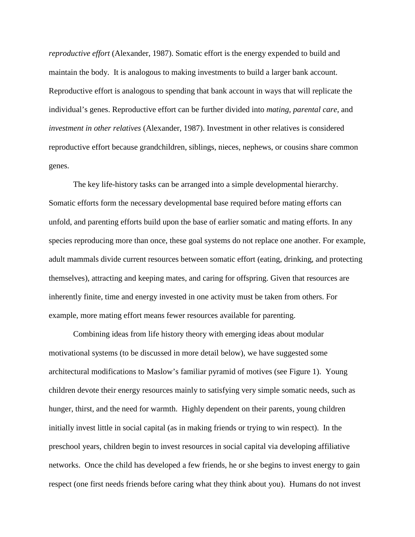*reproductive effort* (Alexander, 1987). Somatic effort is the energy expended to build and maintain the body. It is analogous to making investments to build a larger bank account. Reproductive effort is analogous to spending that bank account in ways that will replicate the individual's genes. Reproductive effort can be further divided into *mating, parental care*, and *investment in other relatives* (Alexander, 1987). Investment in other relatives is considered reproductive effort because grandchildren, siblings, nieces, nephews, or cousins share common genes.

The key life-history tasks can be arranged into a simple developmental hierarchy. Somatic efforts form the necessary developmental base required before mating efforts can unfold, and parenting efforts build upon the base of earlier somatic and mating efforts. In any species reproducing more than once, these goal systems do not replace one another. For example, adult mammals divide current resources between somatic effort (eating, drinking, and protecting themselves), attracting and keeping mates, and caring for offspring. Given that resources are inherently finite, time and energy invested in one activity must be taken from others. For example, more mating effort means fewer resources available for parenting.

Combining ideas from life history theory with emerging ideas about modular motivational systems (to be discussed in more detail below), we have suggested some architectural modifications to Maslow's familiar pyramid of motives (see Figure 1). Young children devote their energy resources mainly to satisfying very simple somatic needs, such as hunger, thirst, and the need for warmth. Highly dependent on their parents, young children initially invest little in social capital (as in making friends or trying to win respect). In the preschool years, children begin to invest resources in social capital via developing affiliative networks. Once the child has developed a few friends, he or she begins to invest energy to gain respect (one first needs friends before caring what they think about you). Humans do not invest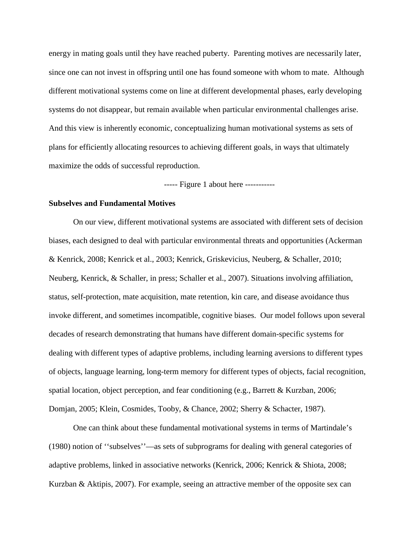energy in mating goals until they have reached puberty. Parenting motives are necessarily later, since one can not invest in offspring until one has found someone with whom to mate. Although different motivational systems come on line at different developmental phases, early developing systems do not disappear, but remain available when particular environmental challenges arise. And this view is inherently economic, conceptualizing human motivational systems as sets of plans for efficiently allocating resources to achieving different goals, in ways that ultimately maximize the odds of successful reproduction.

----- Figure 1 about here -----------

#### **Subselves and Fundamental Motives**

On our view, different motivational systems are associated with different sets of decision biases, each designed to deal with particular environmental threats and opportunities (Ackerman & Kenrick, 2008; Kenrick et al., 2003; Kenrick, Griskevicius, Neuberg, & Schaller, 2010; Neuberg, Kenrick, & Schaller, in press; Schaller et al., 2007). Situations involving affiliation, status, self-protection, mate acquisition, mate retention, kin care, and disease avoidance thus invoke different, and sometimes incompatible, cognitive biases. Our model follows upon several decades of research demonstrating that humans have different domain-specific systems for dealing with different types of adaptive problems, including learning aversions to different types of objects, language learning, long-term memory for different types of objects, facial recognition, spatial location, object perception, and fear conditioning (e.g., Barrett & Kurzban, 2006; Domjan, 2005; Klein, Cosmides, Tooby, & Chance, 2002; Sherry & Schacter, 1987).

One can think about these fundamental motivational systems in terms of Martindale's (1980) notion of ''subselves''—as sets of subprograms for dealing with general categories of adaptive problems, linked in associative networks (Kenrick, 2006; Kenrick & Shiota, 2008; Kurzban & Aktipis, 2007). For example, seeing an attractive member of the opposite sex can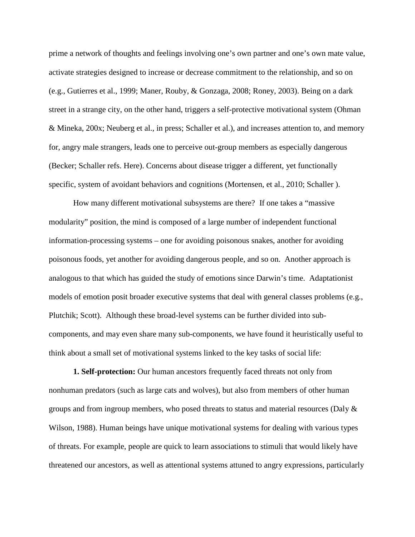prime a network of thoughts and feelings involving one's own partner and one's own mate value, activate strategies designed to increase or decrease commitment to the relationship, and so on (e.g., Gutierres et al., 1999; Maner, Rouby, & Gonzaga, 2008; Roney, 2003). Being on a dark street in a strange city, on the other hand, triggers a self-protective motivational system (Ohman & Mineka, 200x; Neuberg et al., in press; Schaller et al.), and increases attention to, and memory for, angry male strangers, leads one to perceive out-group members as especially dangerous (Becker; Schaller refs. Here). Concerns about disease trigger a different, yet functionally specific, system of avoidant behaviors and cognitions (Mortensen, et al., 2010; Schaller ).

How many different motivational subsystems are there? If one takes a "massive modularity" position, the mind is composed of a large number of independent functional information-processing systems – one for avoiding poisonous snakes, another for avoiding poisonous foods, yet another for avoiding dangerous people, and so on. Another approach is analogous to that which has guided the study of emotions since Darwin's time. Adaptationist models of emotion posit broader executive systems that deal with general classes problems (e.g., Plutchik; Scott). Although these broad-level systems can be further divided into subcomponents, and may even share many sub-components, we have found it heuristically useful to think about a small set of motivational systems linked to the key tasks of social life:

**1. Self-protection:** Our human ancestors frequently faced threats not only from nonhuman predators (such as large cats and wolves), but also from members of other human groups and from ingroup members, who posed threats to status and material resources (Daly  $\&$ Wilson, 1988). Human beings have unique motivational systems for dealing with various types of threats. For example, people are quick to learn associations to stimuli that would likely have threatened our ancestors, as well as attentional systems attuned to angry expressions, particularly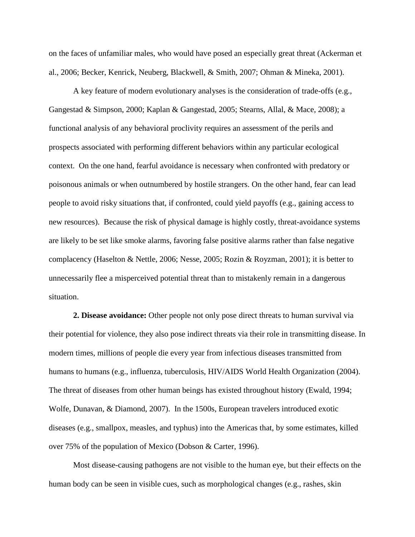on the faces of unfamiliar males, who would have posed an especially great threat (Ackerman et al., 2006; Becker, Kenrick, Neuberg, Blackwell, & Smith, 2007; Ohman & Mineka, 2001).

A key feature of modern evolutionary analyses is the consideration of trade-offs (e.g., Gangestad & Simpson, 2000; Kaplan & Gangestad, 2005; Stearns, Allal, & Mace, 2008); a functional analysis of any behavioral proclivity requires an assessment of the perils and prospects associated with performing different behaviors within any particular ecological context. On the one hand, fearful avoidance is necessary when confronted with predatory or poisonous animals or when outnumbered by hostile strangers. On the other hand, fear can lead people to avoid risky situations that, if confronted, could yield payoffs (e.g., gaining access to new resources). Because the risk of physical damage is highly costly, threat-avoidance systems are likely to be set like smoke alarms, favoring false positive alarms rather than false negative complacency (Haselton & Nettle, 2006; Nesse, 2005; Rozin & Royzman, 2001); it is better to unnecessarily flee a misperceived potential threat than to mistakenly remain in a dangerous situation.

**2. Disease avoidance:** Other people not only pose direct threats to human survival via their potential for violence, they also pose indirect threats via their role in transmitting disease. In modern times, millions of people die every year from infectious diseases transmitted from humans to humans (e.g., influenza, tuberculosis, HIV/AIDS World Health Organization (2004). The threat of diseases from other human beings has existed throughout history (Ewald, 1994; Wolfe, Dunavan, & Diamond, 2007). In the 1500s, European travelers introduced exotic diseases (e.g., smallpox, measles, and typhus) into the Americas that, by some estimates, killed over 75% of the population of Mexico (Dobson & Carter, 1996).

Most disease-causing pathogens are not visible to the human eye, but their effects on the human body can be seen in visible cues, such as morphological changes (e.g., rashes, skin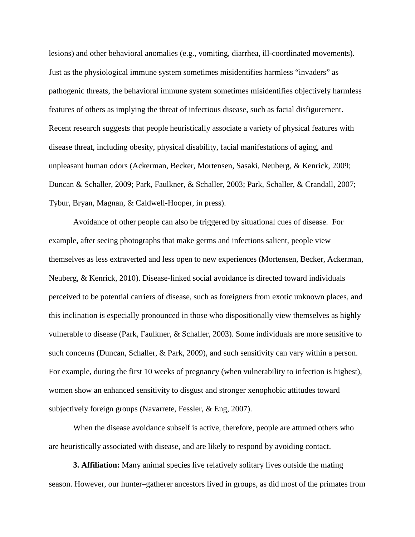lesions) and other behavioral anomalies (e.g., vomiting, diarrhea, ill-coordinated movements). Just as the physiological immune system sometimes misidentifies harmless "invaders" as pathogenic threats, the behavioral immune system sometimes misidentifies objectively harmless features of others as implying the threat of infectious disease, such as facial disfigurement. Recent research suggests that people heuristically associate a variety of physical features with disease threat, including obesity, physical disability, facial manifestations of aging, and unpleasant human odors (Ackerman, Becker, Mortensen, Sasaki, Neuberg, & Kenrick, 2009; Duncan & Schaller, 2009; Park, Faulkner, & Schaller, 2003; Park, Schaller, & Crandall, 2007; Tybur, Bryan, Magnan, & Caldwell-Hooper, in press).

Avoidance of other people can also be triggered by situational cues of disease. For example, after seeing photographs that make germs and infections salient, people view themselves as less extraverted and less open to new experiences (Mortensen, Becker, Ackerman, Neuberg, & Kenrick, 2010). Disease-linked social avoidance is directed toward individuals perceived to be potential carriers of disease, such as foreigners from exotic unknown places, and this inclination is especially pronounced in those who dispositionally view themselves as highly vulnerable to disease (Park, Faulkner, & Schaller, 2003). Some individuals are more sensitive to such concerns (Duncan, Schaller, & Park, 2009), and such sensitivity can vary within a person. For example, during the first 10 weeks of pregnancy (when vulnerability to infection is highest), women show an enhanced sensitivity to disgust and stronger xenophobic attitudes toward subjectively foreign groups (Navarrete, Fessler, & Eng, 2007).

When the disease avoidance subself is active, therefore, people are attuned others who are heuristically associated with disease, and are likely to respond by avoiding contact.

**3. Affiliation:** Many animal species live relatively solitary lives outside the mating season. However, our hunter–gatherer ancestors lived in groups, as did most of the primates from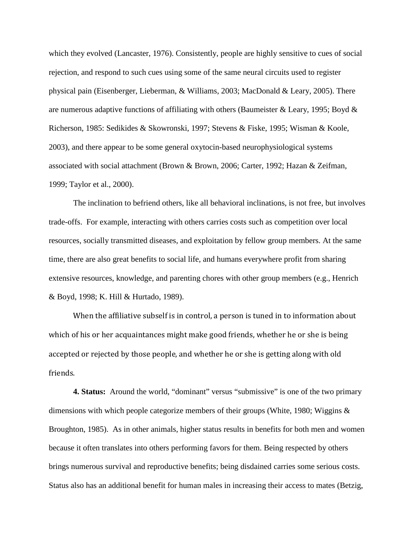which they evolved (Lancaster, 1976). Consistently, people are highly sensitive to cues of social rejection, and respond to such cues using some of the same neural circuits used to register physical pain (Eisenberger, Lieberman, & Williams, 2003; MacDonald & Leary, 2005). There are numerous adaptive functions of affiliating with others (Baumeister & Leary, 1995; Boyd & Richerson, 1985: Sedikides & Skowronski, 1997; Stevens & Fiske, 1995; Wisman & Koole, 2003), and there appear to be some general oxytocin-based neurophysiological systems associated with social attachment (Brown & Brown, 2006; Carter, 1992; Hazan & Zeifman, 1999; Taylor et al., 2000).

The inclination to befriend others, like all behavioral inclinations, is not free, but involves trade-offs. For example, interacting with others carries costs such as competition over local resources, socially transmitted diseases, and exploitation by fellow group members. At the same time, there are also great benefits to social life, and humans everywhere profit from sharing extensive resources, knowledge, and parenting chores with other group members (e.g., Henrich & Boyd, 1998; K. Hill & Hurtado, 1989).

When the affiliative subself is in control, a person is tuned in to information about which of his or her acquaintances might make good friends, whether he or she is being accepted or rejected by those people, and whether he or she is getting along with old friends.

**4. Status:** Around the world, "dominant" versus "submissive" is one of the two primary dimensions with which people categorize members of their groups (White, 1980; Wiggins & Broughton, 1985). As in other animals, higher status results in benefits for both men and women because it often translates into others performing favors for them. Being respected by others brings numerous survival and reproductive benefits; being disdained carries some serious costs. Status also has an additional benefit for human males in increasing their access to mates (Betzig,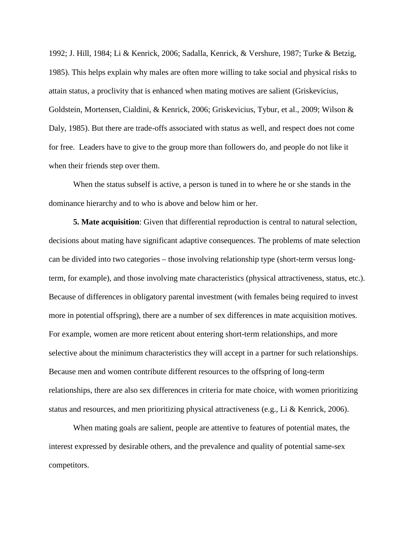1992; J. Hill, 1984; Li & Kenrick, 2006; Sadalla, Kenrick, & Vershure, 1987; Turke & Betzig, 1985). This helps explain why males are often more willing to take social and physical risks to attain status, a proclivity that is enhanced when mating motives are salient (Griskevicius, Goldstein, Mortensen, Cialdini, & Kenrick, 2006; Griskevicius, Tybur, et al., 2009; Wilson & Daly, 1985). But there are trade-offs associated with status as well, and respect does not come for free. Leaders have to give to the group more than followers do, and people do not like it when their friends step over them.

When the status subself is active, a person is tuned in to where he or she stands in the dominance hierarchy and to who is above and below him or her.

**5. Mate acquisition**: Given that differential reproduction is central to natural selection, decisions about mating have significant adaptive consequences. The problems of mate selection can be divided into two categories – those involving relationship type (short-term versus longterm, for example), and those involving mate characteristics (physical attractiveness, status, etc.). Because of differences in obligatory parental investment (with females being required to invest more in potential offspring), there are a number of sex differences in mate acquisition motives. For example, women are more reticent about entering short-term relationships, and more selective about the minimum characteristics they will accept in a partner for such relationships. Because men and women contribute different resources to the offspring of long-term relationships, there are also sex differences in criteria for mate choice, with women prioritizing status and resources, and men prioritizing physical attractiveness (e.g., Li & Kenrick, 2006).

When mating goals are salient, people are attentive to features of potential mates, the interest expressed by desirable others, and the prevalence and quality of potential same-sex competitors.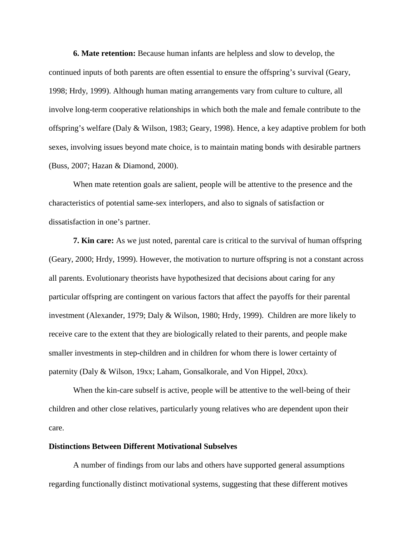**6. Mate retention:** Because human infants are helpless and slow to develop, the continued inputs of both parents are often essential to ensure the offspring's survival (Geary, 1998; Hrdy, 1999). Although human mating arrangements vary from culture to culture, all involve long-term cooperative relationships in which both the male and female contribute to the offspring's welfare (Daly & Wilson, 1983; Geary, 1998). Hence, a key adaptive problem for both sexes, involving issues beyond mate choice, is to maintain mating bonds with desirable partners (Buss, 2007; Hazan & Diamond, 2000).

When mate retention goals are salient, people will be attentive to the presence and the characteristics of potential same-sex interlopers, and also to signals of satisfaction or dissatisfaction in one's partner.

**7. Kin care:** As we just noted, parental care is critical to the survival of human offspring (Geary, 2000; Hrdy, 1999). However, the motivation to nurture offspring is not a constant across all parents. Evolutionary theorists have hypothesized that decisions about caring for any particular offspring are contingent on various factors that affect the payoffs for their parental investment (Alexander, 1979; Daly & Wilson, 1980; Hrdy, 1999). Children are more likely to receive care to the extent that they are biologically related to their parents, and people make smaller investments in step-children and in children for whom there is lower certainty of paternity (Daly & Wilson, 19xx; Laham, Gonsalkorale, and Von Hippel, 20xx).

When the kin-care subself is active, people will be attentive to the well-being of their children and other close relatives, particularly young relatives who are dependent upon their care.

# **Distinctions Between Different Motivational Subselves**

A number of findings from our labs and others have supported general assumptions regarding functionally distinct motivational systems, suggesting that these different motives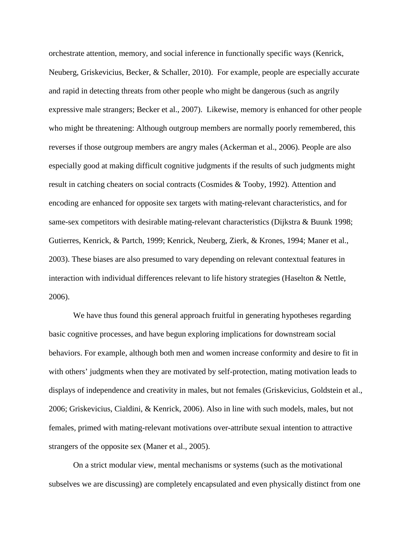orchestrate attention, memory, and social inference in functionally specific ways (Kenrick, Neuberg, Griskevicius, Becker, & Schaller, 2010). For example, people are especially accurate and rapid in detecting threats from other people who might be dangerous (such as angrily expressive male strangers; Becker et al., 2007). Likewise, memory is enhanced for other people who might be threatening: Although outgroup members are normally poorly remembered, this reverses if those outgroup members are angry males (Ackerman et al., 2006). People are also especially good at making difficult cognitive judgments if the results of such judgments might result in catching cheaters on social contracts (Cosmides & Tooby, 1992). Attention and encoding are enhanced for opposite sex targets with mating-relevant characteristics, and for same-sex competitors with desirable mating-relevant characteristics (Dijkstra & Buunk 1998; Gutierres, Kenrick, & Partch, 1999; Kenrick, Neuberg, Zierk, & Krones, 1994; Maner et al., 2003). These biases are also presumed to vary depending on relevant contextual features in interaction with individual differences relevant to life history strategies (Haselton & Nettle, 2006).

We have thus found this general approach fruitful in generating hypotheses regarding basic cognitive processes, and have begun exploring implications for downstream social behaviors. For example, although both men and women increase conformity and desire to fit in with others' judgments when they are motivated by self-protection, mating motivation leads to displays of independence and creativity in males, but not females (Griskevicius, Goldstein et al., 2006; Griskevicius, Cialdini, & Kenrick, 2006). Also in line with such models, males, but not females, primed with mating-relevant motivations over-attribute sexual intention to attractive strangers of the opposite sex (Maner et al., 2005).

On a strict modular view, mental mechanisms or systems (such as the motivational subselves we are discussing) are completely encapsulated and even physically distinct from one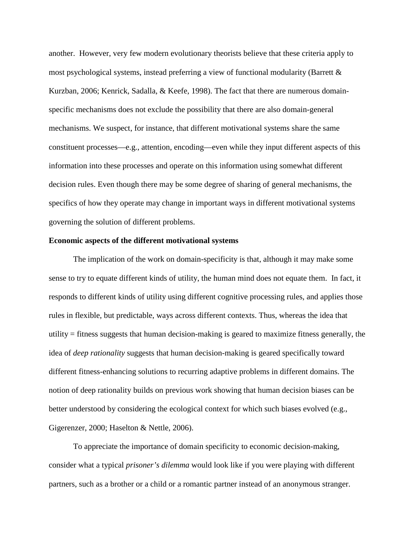another. However, very few modern evolutionary theorists believe that these criteria apply to most psychological systems, instead preferring a view of functional modularity (Barrett & Kurzban, 2006; Kenrick, Sadalla, & Keefe, 1998). The fact that there are numerous domainspecific mechanisms does not exclude the possibility that there are also domain-general mechanisms. We suspect, for instance, that different motivational systems share the same constituent processes—e.g., attention, encoding—even while they input different aspects of this information into these processes and operate on this information using somewhat different decision rules. Even though there may be some degree of sharing of general mechanisms, the specifics of how they operate may change in important ways in different motivational systems governing the solution of different problems.

### **Economic aspects of the different motivational systems**

The implication of the work on domain-specificity is that, although it may make some sense to try to equate different kinds of utility, the human mind does not equate them. In fact, it responds to different kinds of utility using different cognitive processing rules, and applies those rules in flexible, but predictable, ways across different contexts. Thus, whereas the idea that utility = fitness suggests that human decision-making is geared to maximize fitness generally, the idea of *deep rationality* suggests that human decision-making is geared specifically toward different fitness-enhancing solutions to recurring adaptive problems in different domains. The notion of deep rationality builds on previous work showing that human decision biases can be better understood by considering the ecological context for which such biases evolved (e.g., Gigerenzer, 2000; Haselton & Nettle, 2006).

To appreciate the importance of domain specificity to economic decision-making, consider what a typical *prisoner's dilemma* would look like if you were playing with different partners, such as a brother or a child or a romantic partner instead of an anonymous stranger.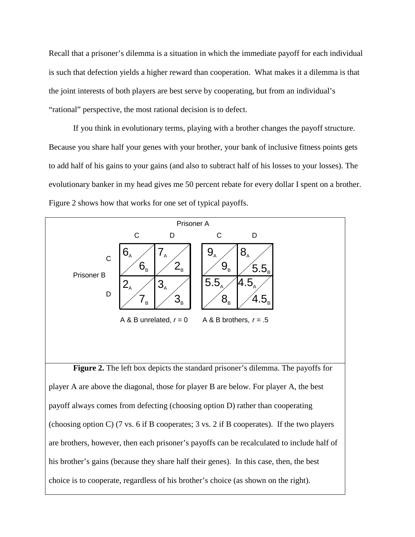Recall that a prisoner's dilemma is a situation in which the immediate payoff for each individual is such that defection yields a higher reward than cooperation. What makes it a dilemma is that the joint interests of both players are best serve by cooperating, but from an individual's "rational" perspective, the most rational decision is to defect.

If you think in evolutionary terms, playing with a brother changes the payoff structure. Because you share half your genes with your brother, your bank of inclusive fitness points gets to add half of his gains to your gains (and also to subtract half of his losses to your losses). The evolutionary banker in my head gives me 50 percent rebate for every dollar I spent on a brother. Figure 2 shows how that works for one set of typical payoffs.



**Figure 2.** The left box depicts the standard prisoner's dilemma. The payoffs for player A are above the diagonal, those for player B are below. For player A, the best payoff always comes from defecting (choosing option D) rather than cooperating (choosing option C) (7 vs. 6 if B cooperates; 3 vs. 2 if B cooperates). If the two players are brothers, however, then each prisoner's payoffs can be recalculated to include half of his brother's gains (because they share half their genes). In this case, then, the best choice is to cooperate, regardless of his brother's choice (as shown on the right).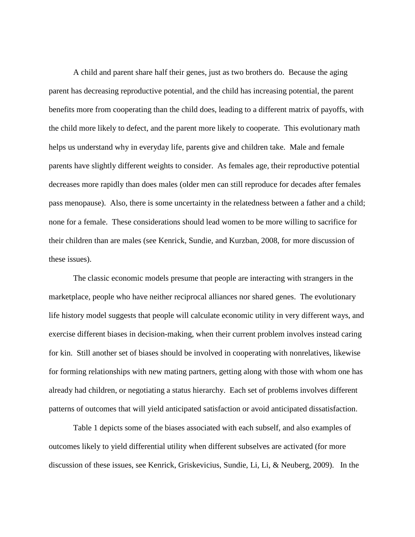A child and parent share half their genes, just as two brothers do. Because the aging parent has decreasing reproductive potential, and the child has increasing potential, the parent benefits more from cooperating than the child does, leading to a different matrix of payoffs, with the child more likely to defect, and the parent more likely to cooperate. This evolutionary math helps us understand why in everyday life, parents give and children take. Male and female parents have slightly different weights to consider. As females age, their reproductive potential decreases more rapidly than does males (older men can still reproduce for decades after females pass menopause). Also, there is some uncertainty in the relatedness between a father and a child; none for a female. These considerations should lead women to be more willing to sacrifice for their children than are males (see Kenrick, Sundie, and Kurzban, 2008, for more discussion of these issues).

The classic economic models presume that people are interacting with strangers in the marketplace, people who have neither reciprocal alliances nor shared genes. The evolutionary life history model suggests that people will calculate economic utility in very different ways, and exercise different biases in decision-making, when their current problem involves instead caring for kin. Still another set of biases should be involved in cooperating with nonrelatives, likewise for forming relationships with new mating partners, getting along with those with whom one has already had children, or negotiating a status hierarchy. Each set of problems involves different patterns of outcomes that will yield anticipated satisfaction or avoid anticipated dissatisfaction.

Table 1 depicts some of the biases associated with each subself, and also examples of outcomes likely to yield differential utility when different subselves are activated (for more discussion of these issues, see Kenrick, Griskevicius, Sundie, Li, Li, & Neuberg, 2009). In the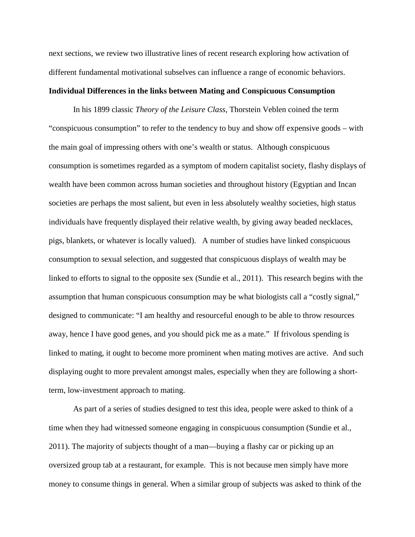next sections, we review two illustrative lines of recent research exploring how activation of different fundamental motivational subselves can influence a range of economic behaviors.

# **Individual Differences in the links between Mating and Conspicuous Consumption**

In his 1899 classic *Theory of the Leisure Class*, Thorstein Veblen coined the term "conspicuous consumption" to refer to the tendency to buy and show off expensive goods – with the main goal of impressing others with one's wealth or status. Although conspicuous consumption is sometimes regarded as a symptom of modern capitalist society, flashy displays of wealth have been common across human societies and throughout history (Egyptian and Incan societies are perhaps the most salient, but even in less absolutely wealthy societies, high status individuals have frequently displayed their relative wealth, by giving away beaded necklaces, pigs, blankets, or whatever is locally valued). A number of studies have linked conspicuous consumption to sexual selection, and suggested that conspicuous displays of wealth may be linked to efforts to signal to the opposite sex (Sundie et al., 2011). This research begins with the assumption that human conspicuous consumption may be what biologists call a "costly signal," designed to communicate: "I am healthy and resourceful enough to be able to throw resources away, hence I have good genes, and you should pick me as a mate." If frivolous spending is linked to mating, it ought to become more prominent when mating motives are active. And such displaying ought to more prevalent amongst males, especially when they are following a shortterm, low-investment approach to mating.

As part of a series of studies designed to test this idea, people were asked to think of a time when they had witnessed someone engaging in conspicuous consumption (Sundie et al., 2011). The majority of subjects thought of a man—buying a flashy car or picking up an oversized group tab at a restaurant, for example. This is not because men simply have more money to consume things in general. When a similar group of subjects was asked to think of the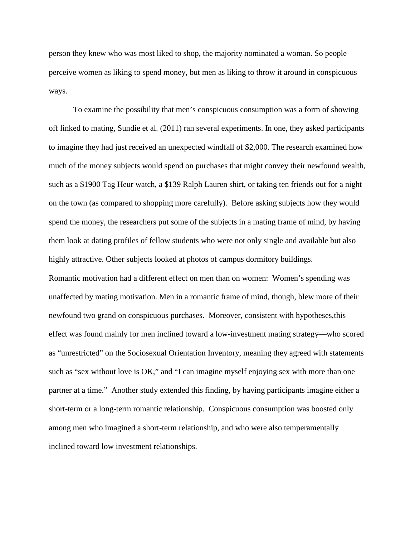person they knew who was most liked to shop, the majority nominated a woman. So people perceive women as liking to spend money, but men as liking to throw it around in conspicuous ways.

To examine the possibility that men's conspicuous consumption was a form of showing off linked to mating, Sundie et al. (2011) ran several experiments. In one, they asked participants to imagine they had just received an unexpected windfall of \$2,000. The research examined how much of the money subjects would spend on purchases that might convey their newfound wealth, such as a \$1900 Tag Heur watch, a \$139 Ralph Lauren shirt, or taking ten friends out for a night on the town (as compared to shopping more carefully). Before asking subjects how they would spend the money, the researchers put some of the subjects in a mating frame of mind, by having them look at dating profiles of fellow students who were not only single and available but also highly attractive. Other subjects looked at photos of campus dormitory buildings. Romantic motivation had a different effect on men than on women: Women's spending was unaffected by mating motivation. Men in a romantic frame of mind, though, blew more of their newfound two grand on conspicuous purchases. Moreover, consistent with hypotheses,this effect was found mainly for men inclined toward a low-investment mating strategy—who scored as "unrestricted" on the Sociosexual Orientation Inventory, meaning they agreed with statements such as "sex without love is OK," and "I can imagine myself enjoying sex with more than one partner at a time." Another study extended this finding, by having participants imagine either a short-term or a long-term romantic relationship. Conspicuous consumption was boosted only among men who imagined a short-term relationship, and who were also temperamentally inclined toward low investment relationships.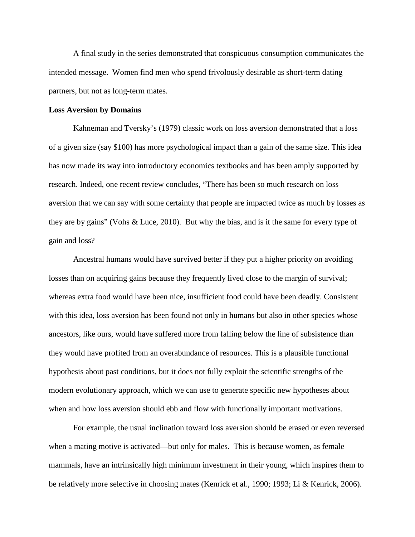A final study in the series demonstrated that conspicuous consumption communicates the intended message. Women find men who spend frivolously desirable as short-term dating partners, but not as long-term mates.

### **Loss Aversion by Domains**

Kahneman and Tversky's (1979) classic work on loss aversion demonstrated that a loss of a given size (say \$100) has more psychological impact than a gain of the same size. This idea has now made its way into introductory economics textbooks and has been amply supported by research. Indeed, one recent review concludes, "There has been so much research on loss aversion that we can say with some certainty that people are impacted twice as much by losses as they are by gains" (Vohs & Luce, 2010). But why the bias, and is it the same for every type of gain and loss?

Ancestral humans would have survived better if they put a higher priority on avoiding losses than on acquiring gains because they frequently lived close to the margin of survival; whereas extra food would have been nice, insufficient food could have been deadly. Consistent with this idea, loss aversion has been found not only in humans but also in other species whose ancestors, like ours, would have suffered more from falling below the line of subsistence than they would have profited from an overabundance of resources. This is a plausible functional hypothesis about past conditions, but it does not fully exploit the scientific strengths of the modern evolutionary approach, which we can use to generate specific new hypotheses about when and how loss aversion should ebb and flow with functionally important motivations.

For example, the usual inclination toward loss aversion should be erased or even reversed when a mating motive is activated—but only for males. This is because women, as female mammals, have an intrinsically high minimum investment in their young, which inspires them to be relatively more selective in choosing mates (Kenrick et al., 1990; 1993; Li & Kenrick, 2006).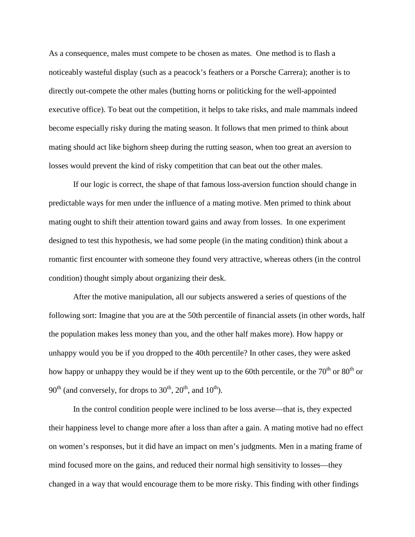As a consequence, males must compete to be chosen as mates. One method is to flash a noticeably wasteful display (such as a peacock's feathers or a Porsche Carrera); another is to directly out-compete the other males (butting horns or politicking for the well-appointed executive office). To beat out the competition, it helps to take risks, and male mammals indeed become especially risky during the mating season. It follows that men primed to think about mating should act like bighorn sheep during the rutting season, when too great an aversion to losses would prevent the kind of risky competition that can beat out the other males.

If our logic is correct, the shape of that famous loss-aversion function should change in predictable ways for men under the influence of a mating motive. Men primed to think about mating ought to shift their attention toward gains and away from losses. In one experiment designed to test this hypothesis, we had some people (in the mating condition) think about a romantic first encounter with someone they found very attractive, whereas others (in the control condition) thought simply about organizing their desk.

After the motive manipulation, all our subjects answered a series of questions of the following sort: Imagine that you are at the 50th percentile of financial assets (in other words, half the population makes less money than you, and the other half makes more). How happy or unhappy would you be if you dropped to the 40th percentile? In other cases, they were asked how happy or unhappy they would be if they went up to the 60th percentile, or the  $70<sup>th</sup>$  or  $80<sup>th</sup>$  or  $90<sup>th</sup>$  (and conversely, for drops to  $30<sup>th</sup>$ ,  $20<sup>th</sup>$ , and  $10<sup>th</sup>$ ).

In the control condition people were inclined to be loss averse—that is, they expected their happiness level to change more after a loss than after a gain. A mating motive had no effect on women's responses, but it did have an impact on men's judgments. Men in a mating frame of mind focused more on the gains, and reduced their normal high sensitivity to losses—they changed in a way that would encourage them to be more risky. This finding with other findings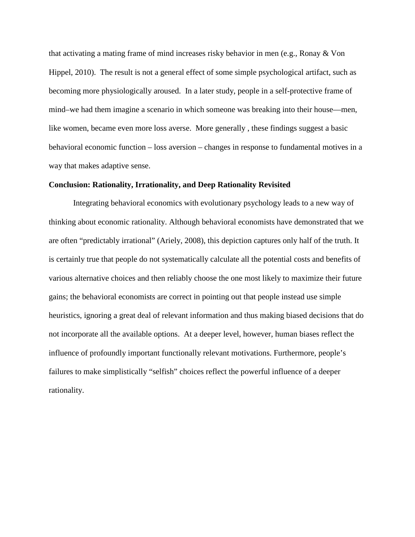that activating a mating frame of mind increases risky behavior in men (e.g., Ronay & Von Hippel, 2010). The result is not a general effect of some simple psychological artifact, such as becoming more physiologically aroused. In a later study, people in a self-protective frame of mind–we had them imagine a scenario in which someone was breaking into their house—men, like women, became even more loss averse. More generally , these findings suggest a basic behavioral economic function – loss aversion – changes in response to fundamental motives in a way that makes adaptive sense.

# **Conclusion: Rationality, Irrationality, and Deep Rationality Revisited**

Integrating behavioral economics with evolutionary psychology leads to a new way of thinking about economic rationality. Although behavioral economists have demonstrated that we are often "predictably irrational" (Ariely, 2008), this depiction captures only half of the truth. It is certainly true that people do not systematically calculate all the potential costs and benefits of various alternative choices and then reliably choose the one most likely to maximize their future gains; the behavioral economists are correct in pointing out that people instead use simple heuristics, ignoring a great deal of relevant information and thus making biased decisions that do not incorporate all the available options. At a deeper level, however, human biases reflect the influence of profoundly important functionally relevant motivations. Furthermore, people's failures to make simplistically "selfish" choices reflect the powerful influence of a deeper rationality.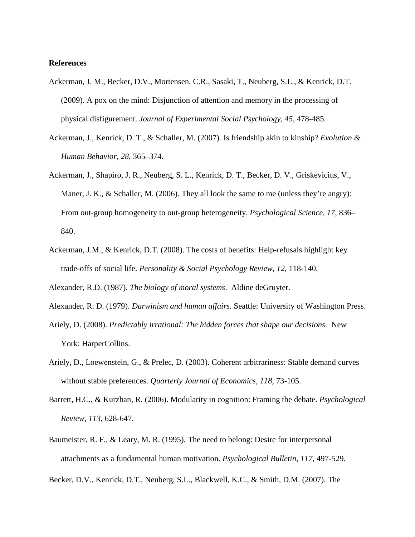# **References**

- Ackerman, J. M., Becker, D.V., Mortensen, C.R., Sasaki, T., Neuberg, S.L., & Kenrick, D.T. (2009). A pox on the mind: Disjunction of attention and memory in the processing of physical disfigurement. *Journal of Experimental Social Psychology, 45*, 478-485.
- Ackerman, J., Kenrick, D. T., & Schaller, M. (2007). Is friendship akin to kinship? *Evolution & Human Behavior, 28*, 365–374.
- Ackerman, J., Shapiro, J. R., Neuberg, S. L., Kenrick, D. T., Becker, D. V., Griskevicius, V., Maner, J. K., & Schaller, M. (2006). They all look the same to me (unless they're angry): From out-group homogeneity to out-group heterogeneity. *Psychological Science, 17,* 836– 840.
- Ackerman, J.M., & Kenrick, D.T. (2008). The costs of benefits: Help-refusals highlight key trade-offs of social life. *Personality & Social Psychology Review, 12,* 118-140.
- Alexander, R.D. (1987). *The biology of moral systems*. Aldine deGruyter.
- Alexander, R. D. (1979). *Darwinism and human affairs.* Seattle: University of Washington Press.
- Ariely, D. (2008). *Predictably irrational: The hidden forces that shape our decisions.* New York: HarperCollins.
- Ariely, D., Loewenstein, G., & Prelec, D. (2003). Coherent arbitrariness: Stable demand curves without stable preferences. *Quarterly Journal of Economics, 118,* 73-105.
- Barrett, H.C., & Kurzban, R. (2006). Modularity in cognition: Framing the debate. *Psychological Review, 113*, 628-647.
- Baumeister, R. F., & Leary, M. R. (1995). The need to belong: Desire for interpersonal attachments as a fundamental human motivation. *Psychological Bulletin, 117,* 497-529.

Becker, D.V., Kenrick, D.T., Neuberg, S.L., Blackwell, K.C., & Smith, D.M. (2007). The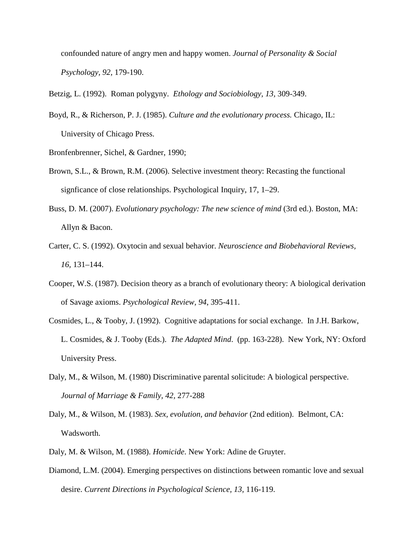confounded nature of angry men and happy women. *Journal of Personality & Social Psychology, 92,* 179-190.

Betzig, L. (1992). Roman polygyny. *Ethology and Sociobiology, 13,* 309-349.

Boyd, R., & Richerson, P. J. (1985). *Culture and the evolutionary process.* Chicago, IL: University of Chicago Press.

Bronfenbrenner, Sichel, & Gardner, 1990;

- Brown, S.L., & Brown, R.M. (2006). Selective investment theory: Recasting the functional signficance of close relationships. Psychological Inquiry, 17, 1–29.
- Buss, D. M. (2007). *Evolutionary psychology: The new science of mind* (3rd ed.). Boston, MA: Allyn & Bacon.
- Carter, C. S. (1992). Oxytocin and sexual behavior. *Neuroscience and Biobehavioral Reviews, 16,* 131–144.
- Cooper, W.S. (1987). Decision theory as a branch of evolutionary theory: A biological derivation of Savage axioms. *Psychological Review, 94*, 395-411.
- Cosmides, L., & Tooby, J. (1992). Cognitive adaptations for social exchange. In J.H. Barkow, L. Cosmides, & J. Tooby (Eds.). *The Adapted Mind*. (pp. 163-228). New York, NY: Oxford University Press.
- Daly, M., & Wilson, M. (1980) Discriminative parental solicitude: A biological perspective. *Journal of Marriage & Family, 42,* 277-288
- Daly, M., & Wilson, M. (1983). *Sex, evolution, and behavior* (2nd edition). Belmont, CA: Wadsworth.
- Daly, M. & Wilson, M. (1988). *Homicide*. New York: Adine de Gruyter.
- Diamond, L.M. (2004). Emerging perspectives on distinctions between romantic love and sexual desire. *Current Directions in Psychological Science, 13,* 116-119.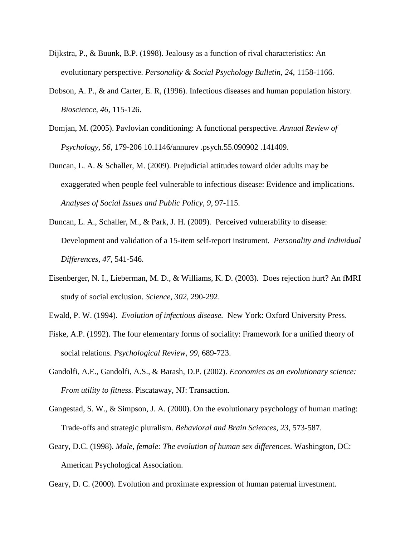- Dijkstra, P., & Buunk, B.P. (1998). Jealousy as a function of rival characteristics: An evolutionary perspective. *Personality & Social Psychology Bulletin, 24,* 1158-1166.
- Dobson, A. P., & and Carter, E. R, (1996). Infectious diseases and human population history. *Bioscience, 46*, 115-126.
- Domjan, M. (2005). Pavlovian conditioning: A functional perspective. *Annual Review of Psychology, 56*, 179-206 10.1146/annurev .psych.55.090902 .141409.
- Duncan, L. A. & Schaller, M. (2009). Prejudicial attitudes toward older adults may be exaggerated when people feel vulnerable to infectious disease: Evidence and implications. *Analyses of Social Issues and Public Policy, 9,* 97-115.
- Duncan, L. A., Schaller, M., & Park, J. H. (2009). Perceived vulnerability to disease: Development and validation of a 15-item self-report instrument. *Personality and Individual Differences, 47,* 541-546.
- Eisenberger, N. I., Lieberman, M. D., & Williams, K. D. (2003). Does rejection hurt? An fMRI study of social exclusion. *Science, 302*, 290-292.
- Ewald, P. W. (1994). *Evolution of infectious disease.* New York: Oxford University Press.
- Fiske, A.P. (1992). The four elementary forms of sociality: Framework for a unified theory of social relations. *Psychological Review, 99,* 689-723.
- Gandolfi, A.E., Gandolfi, A.S., & Barash, D.P. (2002). *Economics as an evolutionary science: From utility to fitness.* Piscataway, NJ: Transaction.
- Gangestad, S. W., & Simpson, J. A. (2000). On the evolutionary psychology of human mating: Trade-offs and strategic pluralism. *Behavioral and Brain Sciences, 23,* 573-587.
- Geary, D.C. (1998). *Male, female: The evolution of human sex differences*. Washington, DC: American Psychological Association.

Geary, D. C. (2000). Evolution and proximate expression of human paternal investment.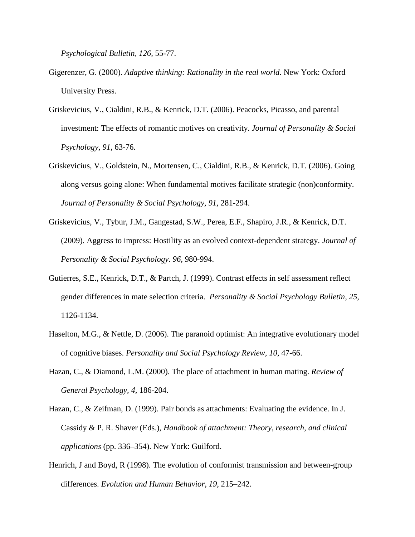*Psychological Bulletin, 126,* 55-77.

- Gigerenzer, G. (2000). *Adaptive thinking: Rationality in the real world.* New York: Oxford University Press.
- Griskevicius, V., Cialdini, R.B., & Kenrick, D.T. (2006). Peacocks, Picasso, and parental investment: The effects of romantic motives on creativity. *Journal of Personality & Social Psychology, 91,* 63-76.
- Griskevicius, V., Goldstein, N., Mortensen, C., Cialdini, R.B., & Kenrick, D.T. (2006). Going along versus going alone: When fundamental motives facilitate strategic (non)conformity. *Journal of Personality & Social Psychology, 91,* 281-294.
- Griskevicius, V., Tybur, J.M., Gangestad, S.W., Perea, E.F., Shapiro, J.R., & Kenrick, D.T. (2009). Aggress to impress: Hostility as an evolved context-dependent strategy. *Journal of Personality & Social Psychology. 96,* 980-994.
- Gutierres, S.E., Kenrick, D.T., & Partch, J. (1999). Contrast effects in self assessment reflect gender differences in mate selection criteria. *Personality & Social Psychology Bulletin, 25,*  1126-1134.
- Haselton, M.G., & Nettle, D. (2006). The paranoid optimist: An integrative evolutionary model of cognitive biases. *Personality and Social Psychology Review, 10*, 47-66.
- Hazan, C., & Diamond, L.M. (2000). The place of attachment in human mating. *Review of General Psychology, 4,* 186-204.
- Hazan, C., & Zeifman, D. (1999). Pair bonds as attachments: Evaluating the evidence. In J. Cassidy & P. R. Shaver (Eds.), *Handbook of attachment: Theory, research, and clinical applications* (pp. 336–354). New York: Guilford.
- Henrich, J and Boyd, R (1998). The evolution of conformist transmission and between-group differences. *Evolution and Human Behavior*, *19*, 215–242.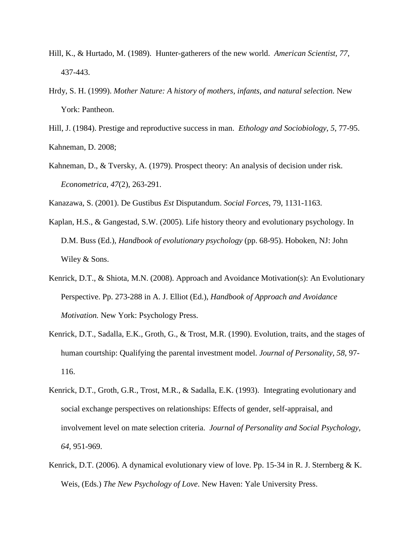- Hill, K., & Hurtado, M. (1989). Hunter-gatherers of the new world. *American Scientist, 77*, 437-443.
- Hrdy, S. H. (1999). *Mother Nature: A history of mothers, infants, and natural selection.* New York: Pantheon.
- Hill, J. (1984). Prestige and reproductive success in man. *Ethology and Sociobiology*, *5*, 77-95. Kahneman, D. 2008;
- Kahneman, D., & Tversky, A. (1979). Prospect theory: An analysis of decision under risk. *Econometrica*, *47*(2), 263-291.
- Kanazawa, S. (2001). De Gustibus *Est* Disputandum. *Social Forces*, 79, 1131-1163.
- Kaplan, H.S., & Gangestad, S.W. (2005). Life history theory and evolutionary psychology. In D.M. Buss (Ed.), *Handbook of evolutionary psychology* (pp. 68-95). Hoboken, NJ: John Wiley & Sons.
- Kenrick, D.T., & Shiota, M.N. (2008). Approach and Avoidance Motivation(s): An Evolutionary Perspective. Pp. 273-288 in A. J. Elliot (Ed.), *Handbook of Approach and Avoidance Motivation.* New York: Psychology Press.
- Kenrick, D.T., Sadalla, E.K., Groth, G., & Trost, M.R. (1990). Evolution, traits, and the stages of human courtship: Qualifying the parental investment model. *Journal of Personality, 58*, 97- 116.
- Kenrick, D.T., Groth, G.R., Trost, M.R., & Sadalla, E.K. (1993). Integrating evolutionary and social exchange perspectives on relationships: Effects of gender, self-appraisal, and involvement level on mate selection criteria. *Journal of Personality and Social Psychology, 64,* 951-969.
- Kenrick, D.T. (2006). A dynamical evolutionary view of love. Pp. 15-34 in R. J. Sternberg & K. Weis, (Eds.) *The New Psychology of Love*. New Haven: Yale University Press.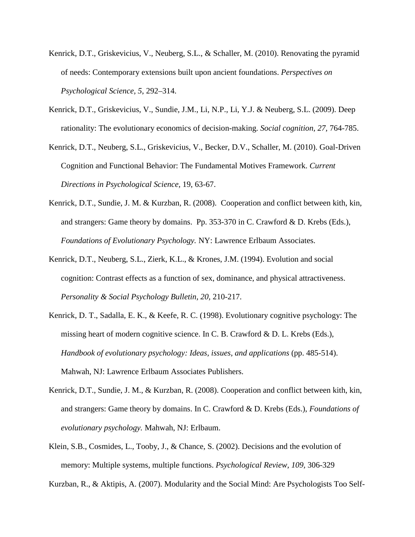- Kenrick, D.T., Griskevicius, V., Neuberg, S.L., & Schaller, M. (2010). Renovating the pyramid of needs: Contemporary extensions built upon ancient foundations. *Perspectives on Psychological Science, 5*, 292–314.
- Kenrick, D.T., Griskevicius, V., Sundie, J.M., Li, N.P., Li, Y.J. & Neuberg, S.L. (2009). Deep rationality: The evolutionary economics of decision-making. *Social cognition, 27,* 764-785.

Kenrick, D.T., Neuberg, S.L., Griskevicius, V., Becker, D.V., Schaller, M. (2010). Goal-Driven Cognition and Functional Behavior: The Fundamental Motives Framework. *Current Directions in Psychological Science,* 19, 63-67.

- Kenrick, D.T., Sundie, J. M. & Kurzban, R. (2008). Cooperation and conflict between kith, kin, and strangers: Game theory by domains. Pp. 353-370 in C. Crawford & D. Krebs (Eds.), *Foundations of Evolutionary Psychology.* NY: Lawrence Erlbaum Associates.
- Kenrick, D.T., Neuberg, S.L., Zierk, K.L., & Krones, J.M. (1994). Evolution and social cognition: Contrast effects as a function of sex, dominance, and physical attractiveness. *Personality & Social Psychology Bulletin, 20,* 210-217.
- Kenrick, D. T., Sadalla, E. K., & Keefe, R. C. (1998). Evolutionary cognitive psychology: The missing heart of modern cognitive science. In C. B. Crawford & D. L. Krebs (Eds.), *Handbook of evolutionary psychology: Ideas, issues, and applications* (pp. 485-514). Mahwah, NJ: Lawrence Erlbaum Associates Publishers.
- Kenrick, D.T., Sundie, J. M., & Kurzban, R. (2008). Cooperation and conflict between kith, kin, and strangers: Game theory by domains. In C. Crawford & D. Krebs (Eds.), *Foundations of evolutionary psychology.* Mahwah, NJ: Erlbaum.
- Klein, S.B., Cosmides, L., Tooby, J., & Chance, S. (2002). Decisions and the evolution of memory: Multiple systems, multiple functions. *Psychological Review, 109,* 306-329

Kurzban, R., & Aktipis, A. (2007). Modularity and the Social Mind: Are Psychologists Too Self-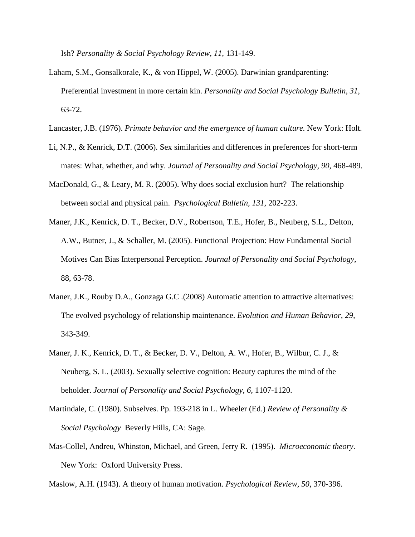Ish? *Personality & Social Psychology Review, 11,* 131-149.

- Laham, S.M., Gonsalkorale, K., & von Hippel, W. (2005). Darwinian grandparenting: Preferential investment in more certain kin. *Personality and Social Psychology Bulletin, 31*, 63-72.
- Lancaster, J.B. (1976). *Primate behavior and the emergence of human culture.* New York: Holt.
- Li, N.P., & Kenrick, D.T. (2006). Sex similarities and differences in preferences for short-term mates: What, whether, and why. *Journal of Personality and Social Psychology*, 90, 468-489.
- MacDonald, G., & Leary, M. R. (2005). Why does social exclusion hurt? The relationship between social and physical pain. *Psychological Bulletin, 131*, 202-223.
- Maner, J.K., Kenrick, D. T., Becker, D.V., Robertson, T.E., Hofer, B., Neuberg, S.L., Delton, A.W., Butner, J., & Schaller, M. (2005). Functional Projection: How Fundamental Social Motives Can Bias Interpersonal Perception. *Journal of Personality and Social Psychology*, 88, 63-78.
- Maner, J.K., Rouby D.A., Gonzaga G.C. (2008) Automatic attention to attractive alternatives: The evolved psychology of relationship maintenance. *Evolution and Human Behavior, 29,* 343-349.
- Maner, J. K., Kenrick, D. T., & Becker, D. V., Delton, A. W., Hofer, B., Wilbur, C. J., & Neuberg, S. L. (2003). Sexually selective cognition: Beauty captures the mind of the beholder. *Journal of Personality and Social Psychology, 6,* 1107-1120.
- Martindale, C. (1980). Subselves. Pp. 193-218 in L. Wheeler (Ed.) *Review of Personality & Social Psychology* Beverly Hills, CA: Sage.
- Mas-Collel, Andreu, Whinston, Michael, and Green, Jerry R. (1995). *Microeconomic theory*. New York: Oxford University Press.

Maslow, A.H. (1943). A theory of human motivation. *Psychological Review, 50*, 370-396.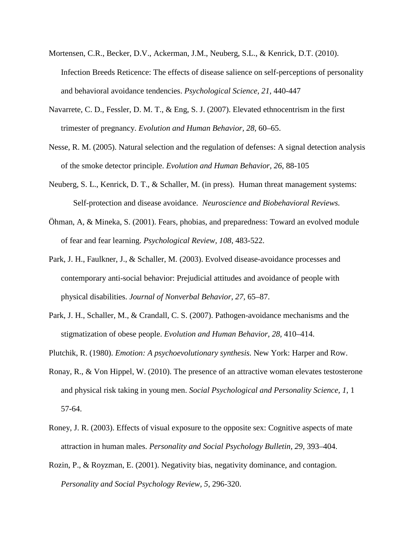- Mortensen, C.R., Becker, D.V., Ackerman, J.M., Neuberg, S.L., & Kenrick, D.T. (2010). Infection Breeds Reticence: The effects of disease salience on self-perceptions of personality and behavioral avoidance tendencies. *Psychological Science, 21,* 440-447
- Navarrete, C. D., Fessler, D. M. T., & Eng, S. J. (2007). Elevated ethnocentrism in the first trimester of pregnancy. *Evolution and Human Behavior, 28,* 60–65.
- Nesse, R. M. (2005). Natural selection and the regulation of defenses: A signal detection analysis of the smoke detector principle. *Evolution and Human Behavior, 26*, 88-105
- Neuberg, S. L., Kenrick, D. T., & Schaller, M. (in press). Human threat management systems: Self-protection and disease avoidance. *Neuroscience and Biobehavioral Reviews.*
- Öhman, A, & Mineka, S. (2001). Fears, phobias, and preparedness: Toward an evolved module of fear and fear learning. *Psychological Review, 108*, 483-522.
- Park, J. H., Faulkner, J., & Schaller, M. (2003). Evolved disease-avoidance processes and contemporary anti-social behavior: Prejudicial attitudes and avoidance of people with physical disabilities. *Journal of Nonverbal Behavior, 27,* 65–87.
- Park, J. H., Schaller, M., & Crandall, C. S. (2007). Pathogen-avoidance mechanisms and the stigmatization of obese people. *Evolution and Human Behavior, 28,* 410–414.
- Plutchik, R. (1980). *Emotion: A psychoevolutionary synthesis.* New York: Harper and Row.
- Ronay, R., & Von Hippel, W. (2010). The presence of an attractive woman elevates testosterone and physical risk taking in young men. *Social Psychological and Personality Science, 1*, 1 57-64.
- Roney, J. R. (2003). Effects of visual exposure to the opposite sex: Cognitive aspects of mate attraction in human males. *Personality and Social Psychology Bulletin, 29,* 393–404.
- Rozin, P., & Royzman, E. (2001). Negativity bias, negativity dominance, and contagion. *Personality and Social Psychology Review, 5*, 296-320.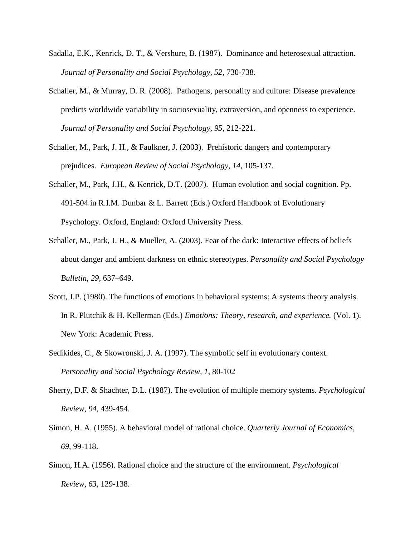- Sadalla, E.K., Kenrick, D. T., & Vershure, B. (1987). Dominance and heterosexual attraction. *Journal of Personality and Social Psychology, 52*, 730-738.
- Schaller, M., & Murray, D. R. (2008). Pathogens, personality and culture: Disease prevalence predicts worldwide variability in sociosexuality, extraversion, and openness to experience. *Journal of Personality and Social Psychology, 95*, 212-221.
- Schaller, M., Park, J. H., & Faulkner, J. (2003). Prehistoric dangers and contemporary prejudices. *European Review of Social Psychology, 14,* 105-137.
- Schaller, M., Park, J.H., & Kenrick, D.T. (2007). Human evolution and social cognition. Pp. 491-504 in R.I.M. Dunbar & L. Barrett (Eds.) Oxford Handbook of Evolutionary Psychology. Oxford, England: Oxford University Press.
- Schaller, M., Park, J. H., & Mueller, A. (2003). Fear of the dark: Interactive effects of beliefs about danger and ambient darkness on ethnic stereotypes. *Personality and Social Psychology Bulletin, 29,* 637–649.
- Scott, J.P. (1980). The functions of emotions in behavioral systems: A systems theory analysis. In R. Plutchik & H. Kellerman (Eds.) *Emotions: Theory, research, and experience.* (Vol. 1). New York: Academic Press.
- Sedikides, C., & Skowronski, J. A. (1997). The symbolic self in evolutionary context. *Personality and Social Psychology Review, 1*, 80-102
- Sherry, D.F. & Shachter, D.L. (1987). The evolution of multiple memory systems*. Psychological Review, 94*, 439-454.
- Simon, H. A. (1955). A behavioral model of rational choice. *Quarterly Journal of Economics, 69,* 99-118.
- Simon, H.A. (1956). Rational choice and the structure of the environment. *Psychological Review, 63,* 129-138.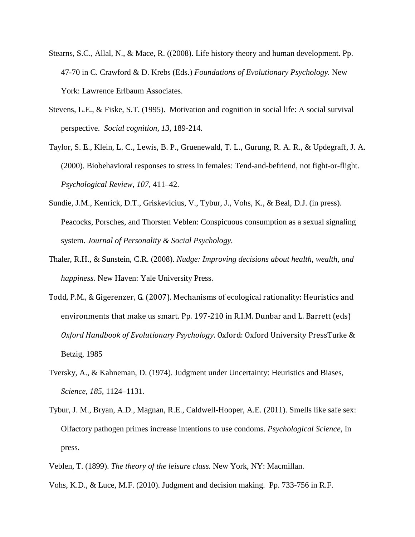- Stearns, S.C., Allal, N., & Mace, R. ((2008). Life history theory and human development. Pp. 47-70 in C. Crawford & D. Krebs (Eds.) *Foundations of Evolutionary Psychology.* New York: Lawrence Erlbaum Associates.
- Stevens, L.E., & Fiske, S.T. (1995). Motivation and cognition in social life: A social survival perspective. *Social cognition, 13,* 189-214.
- Taylor, S. E., Klein, L. C., Lewis, B. P., Gruenewald, T. L., Gurung, R. A. R., & Updegraff, J. A. (2000). Biobehavioral responses to stress in females: Tend-and-befriend, not fight-or-flight. *Psychological Review, 107,* 411–42.
- Sundie, J.M., Kenrick, D.T., Griskevicius, V., Tybur, J., Vohs, K., & Beal, D.J. (in press). Peacocks, Porsches, and Thorsten Veblen: Conspicuous consumption as a sexual signaling system. *Journal of Personality & Social Psychology.*
- Thaler, R.H., & Sunstein, C.R. (2008). *Nudge: Improving decisions about health, wealth, and happiness.* New Haven: Yale University Press.
- Todd, P.M., & Gigerenzer, G. (2007). Mechanisms of ecological rationality: Heuristics and environments that make us smart. Pp. 197-210 in R.I.M. Dunbar and L. Barrett (eds) *Oxford Handbook of Evolutionary Psychology*. Oxford: Oxford University PressTurke & Betzig, 1985
- Tversky, A., & Kahneman, D. (1974). Judgment under Uncertainty: Heuristics and Biases, *Science, 185,* 1124–1131.
- Tybur, J. M., Bryan, A.D., Magnan, R.E., Caldwell-Hooper, A.E. (2011). Smells like safe sex: Olfactory pathogen primes increase intentions to use condoms. *Psychological Science,* In press.
- Veblen, T. (1899). *The theory of the leisure class.* New York, NY: Macmillan.
- Vohs, K.D., & Luce, M.F. (2010). Judgment and decision making. Pp. 733-756 in R.F.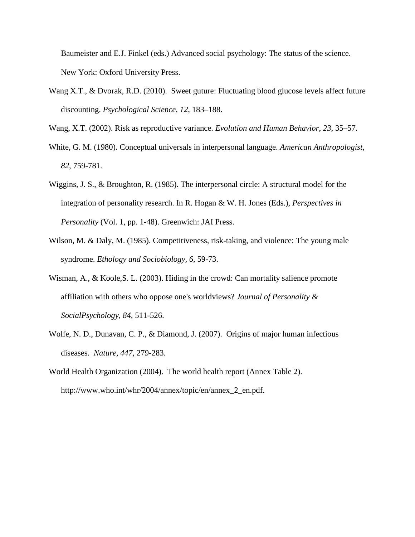Baumeister and E.J. Finkel (eds.) Advanced social psychology: The status of the science. New York: Oxford University Press.

Wang X.T., & Dvorak, R.D. (2010). Sweet guture: Fluctuating blood glucose levels affect future discounting. *Psychological Science, 12*, 183–188.

Wang, X.T. (2002). Risk as reproductive variance. *Evolution and Human Behavior*, *23*, 35–57.

- White, G. M. (1980). Conceptual universals in interpersonal language. *American Anthropologist, 82*, 759-781.
- Wiggins, J. S., & Broughton, R. (1985). The interpersonal circle: A structural model for the integration of personality research. In R. Hogan & W. H. Jones (Eds.), *Perspectives in Personality* (Vol. 1, pp. 1-48). Greenwich: JAI Press.
- Wilson, M. & Daly, M. (1985). Competitiveness, risk-taking, and violence: The young male syndrome. *Ethology and Sociobiology, 6*, 59-73.
- Wisman, A., & Koole,S. L. (2003). Hiding in the crowd: Can mortality salience promote affiliation with others who oppose one's worldviews? *Journal of Personality & SocialPsychology, 84,* 511-526.
- Wolfe, N. D., Dunavan, C. P., & Diamond, J. (2007). Origins of major human infectious diseases. *Nature, 447*, 279-283.
- World Health Organization (2004). The world health report (Annex Table 2). http://www.who.int/whr/2004/annex/topic/en/annex\_2\_en.pdf.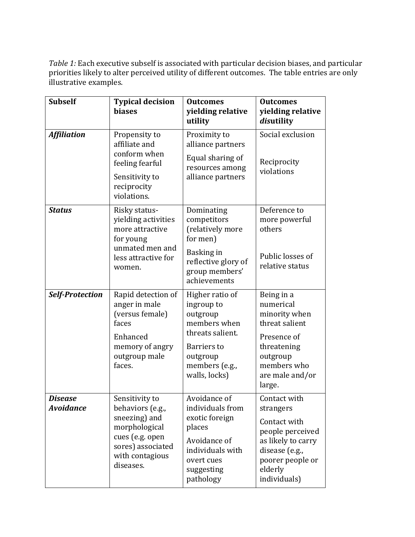*Table 1:* Each executive subself is associated with particular decision biases, and particular priorities likely to alter perceived utility of different outcomes. The table entries are only illustrative examples.

| <b>Subself</b>              | <b>Typical decision</b><br>biases                                                                                                            | <b>Outcomes</b><br>yielding relative<br>utility                                                                                             | <b>Outcomes</b><br>yielding relative<br>disutility                                                                                                   |
|-----------------------------|----------------------------------------------------------------------------------------------------------------------------------------------|---------------------------------------------------------------------------------------------------------------------------------------------|------------------------------------------------------------------------------------------------------------------------------------------------------|
| <b>Affiliation</b>          | Propensity to<br>affiliate and<br>conform when<br>feeling fearful<br>Sensitivity to<br>reciprocity<br>violations.                            | Proximity to<br>alliance partners<br>Equal sharing of<br>resources among<br>alliance partners                                               | Social exclusion<br>Reciprocity<br>violations                                                                                                        |
| <b>Status</b>               | Risky status-<br>yielding activities<br>more attractive<br>for young<br>unmated men and<br>less attractive for<br>women.                     | Dominating<br>competitors<br>(relatively more<br>for men)<br>Basking in<br>reflective glory of<br>group members'<br>achievements            | Deference to<br>more powerful<br>others<br>Public losses of<br>relative status                                                                       |
| <b>Self-Protection</b>      | Rapid detection of<br>anger in male<br>(versus female)<br>faces<br>Enhanced<br>memory of angry<br>outgroup male<br>faces.                    | Higher ratio of<br>ingroup to<br>outgroup<br>members when<br>threats salient.<br>Barriers to<br>outgroup<br>members (e.g.,<br>walls, locks) | Being in a<br>numerical<br>minority when<br>threat salient<br>Presence of<br>threatening<br>outgroup<br>members who<br>are male and/or<br>large.     |
| Disease<br><b>Avoidance</b> | Sensitivity to<br>behaviors (e.g.,<br>sneezing) and<br>morphological<br>cues (e.g. open<br>sores) associated<br>with contagious<br>diseases. | Avoidance of<br>individuals from<br>exotic foreign<br>places<br>Avoidance of<br>individuals with<br>overt cues<br>suggesting<br>pathology   | Contact with<br>strangers<br>Contact with<br>people perceived<br>as likely to carry<br>disease (e.g.,<br>poorer people or<br>elderly<br>individuals) |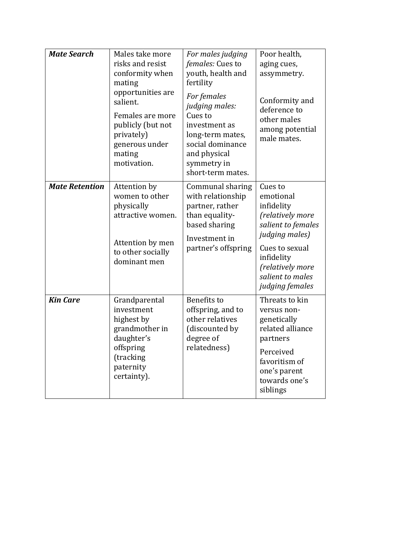| <b>Mate Search</b>    | Males take more<br>risks and resist<br>conformity when<br>mating<br>opportunities are<br>salient.<br>Females are more<br>publicly (but not<br>privately)<br>generous under<br>mating<br>motivation. | For males judging<br>females: Cues to<br>youth, health and<br>fertility<br>For females<br>judging males:<br>Cues to<br>investment as<br>long-term mates,<br>social dominance<br>and physical<br>symmetry in<br>short-term mates. | Poor health,<br>aging cues,<br>assymmetry.<br>Conformity and<br>deference to<br>other males<br>among potential<br>male mates.                                                             |
|-----------------------|-----------------------------------------------------------------------------------------------------------------------------------------------------------------------------------------------------|----------------------------------------------------------------------------------------------------------------------------------------------------------------------------------------------------------------------------------|-------------------------------------------------------------------------------------------------------------------------------------------------------------------------------------------|
| <b>Mate Retention</b> | Attention by<br>women to other<br>physically<br>attractive women.<br>Attention by men<br>to other socially<br>dominant men                                                                          | Communal sharing<br>with relationship<br>partner, rather<br>than equality-<br>based sharing<br>Investment in<br>partner's offspring                                                                                              | Cues to<br>emotional<br>infidelity<br>(relatively more<br>salient to females<br>judging males)<br>Cues to sexual<br>infidelity<br>(relatively more<br>salient to males<br>judging females |
| <b>Kin Care</b>       | Grandparental<br>investment<br>highest by<br>grandmother in<br>daughter's<br>offspring<br>(tracking<br>paternity<br>certainty).                                                                     | Benefits to<br>offspring, and to<br>other relatives<br>(discounted by<br>degree of<br>relatedness)                                                                                                                               | Threats to kin<br>versus non-<br>genetically<br>related alliance<br>partners<br>Perceived<br>favoritism of<br>one's parent<br>towards one's<br>siblings                                   |